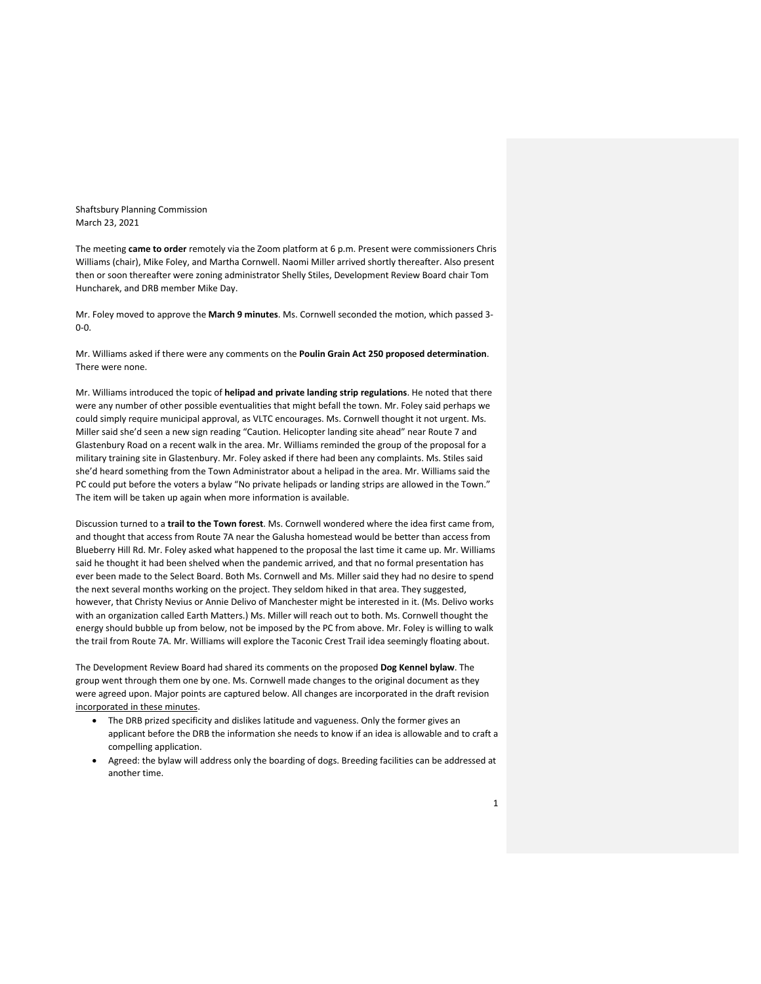Shaftsbury Planning Commission March 23, 2021

The meeting **came to order** remotely via the Zoom platform at 6 p.m. Present were commissioners Chris Williams (chair), Mike Foley, and Martha Cornwell. Naomi Miller arrived shortly thereafter. Also present then or soon thereafter were zoning administrator Shelly Stiles, Development Review Board chair Tom Huncharek, and DRB member Mike Day.

Mr. Foley moved to approve the **March 9 minutes**. Ms. Cornwell seconded the motion, which passed 3- 0-0.

Mr. Williams asked if there were any comments on the **Poulin Grain Act 250 proposed determination**. There were none.

Mr. Williams introduced the topic of **helipad and private landing strip regulations**. He noted that there were any number of other possible eventualities that might befall the town. Mr. Foley said perhaps we could simply require municipal approval, as VLTC encourages. Ms. Cornwell thought it not urgent. Ms. Miller said she'd seen a new sign reading "Caution. Helicopter landing site ahead" near Route 7 and Glastenbury Road on a recent walk in the area. Mr. Williams reminded the group of the proposal for a military training site in Glastenbury. Mr. Foley asked if there had been any complaints. Ms. Stiles said she'd heard something from the Town Administrator about a helipad in the area. Mr. Williams said the PC could put before the voters a bylaw "No private helipads or landing strips are allowed in the Town." The item will be taken up again when more information is available.

Discussion turned to a **trail to the Town forest**. Ms. Cornwell wondered where the idea first came from, and thought that access from Route 7A near the Galusha homestead would be better than access from Blueberry Hill Rd. Mr. Foley asked what happened to the proposal the last time it came up. Mr. Williams said he thought it had been shelved when the pandemic arrived, and that no formal presentation has ever been made to the Select Board. Both Ms. Cornwell and Ms. Miller said they had no desire to spend the next several months working on the project. They seldom hiked in that area. They suggested, however, that Christy Nevius or Annie Delivo of Manchester might be interested in it. (Ms. Delivo works with an organization called Earth Matters.) Ms. Miller will reach out to both. Ms. Cornwell thought the energy should bubble up from below, not be imposed by the PC from above. Mr. Foley is willing to walk the trail from Route 7A. Mr. Williams will explore the Taconic Crest Trail idea seemingly floating about.

The Development Review Board had shared its comments on the proposed **Dog Kennel bylaw**. The group went through them one by one. Ms. Cornwell made changes to the original document as they were agreed upon. Major points are captured below. All changes are incorporated in the draft revision incorporated in these minutes.

- The DRB prized specificity and dislikes latitude and vagueness. Only the former gives an applicant before the DRB the information she needs to know if an idea is allowable and to craft a compelling application.
- Agreed: the bylaw will address only the boarding of dogs. Breeding facilities can be addressed at another time.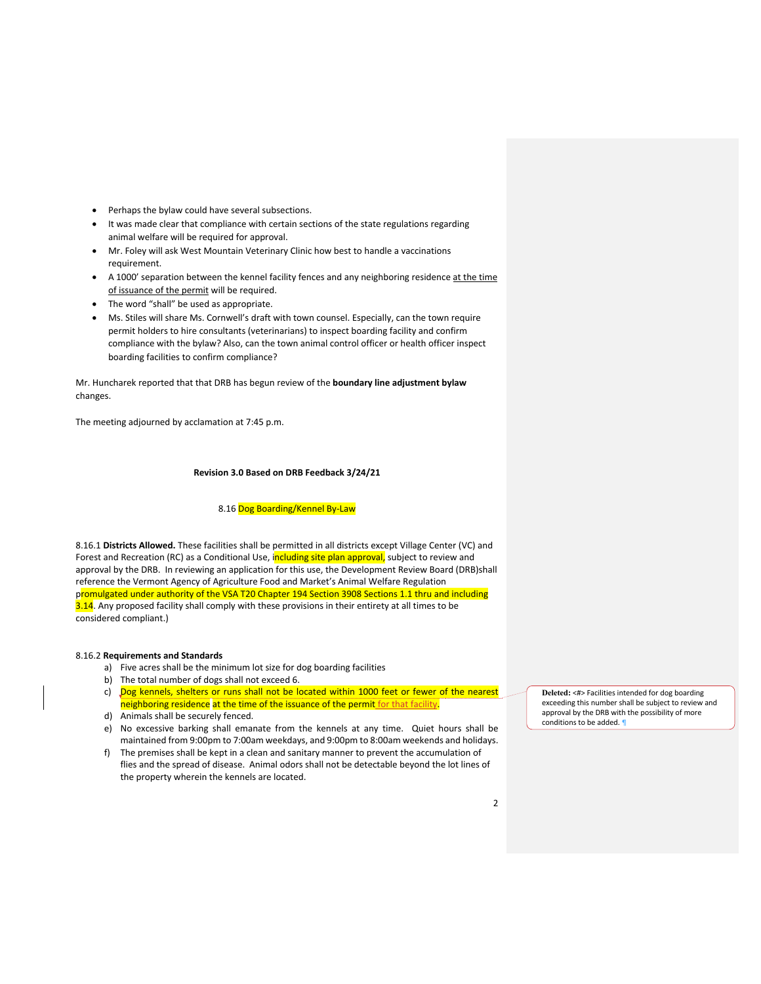- Perhaps the bylaw could have several subsections.
- It was made clear that compliance with certain sections of the state regulations regarding animal welfare will be required for approval.
- Mr. Foley will ask West Mountain Veterinary Clinic how best to handle a vaccinations requirement.
- A 1000' separation between the kennel facility fences and any neighboring residence at the time of issuance of the permit will be required.
- The word "shall" be used as appropriate.
- Ms. Stiles will share Ms. Cornwell's draft with town counsel. Especially, can the town require permit holders to hire consultants (veterinarians) to inspect boarding facility and confirm compliance with the bylaw? Also, can the town animal control officer or health officer inspect boarding facilities to confirm compliance?

Mr. Huncharek reported that that DRB has begun review of the **boundary line adjustment bylaw** changes.

The meeting adjourned by acclamation at 7:45 p.m.

# **Revision 3.0 Based on DRB Feedback 3/24/21**

#### 8.16 Dog Boarding/Kennel By-Law

8.16.1 **Districts Allowed.** These facilities shall be permitted in all districts except Village Center (VC) and Forest and Recreation (RC) as a Conditional Use, including site plan approval, subject to review and approval by the DRB. In reviewing an application for this use, the Development Review Board (DRB)shall reference the Vermont Agency of Agriculture Food and Market's Animal Welfare Regulation promulgated under authority of the VSA T20 Chapter 194 Section 3908 Sections 1.1 thru and including 3.14. Any proposed facility shall comply with these provisions in their entirety at all times to be considered compliant.)

### 8.16.2 **Requirements and Standards**

- a) Five acres shall be the minimum lot size for dog boarding facilities
- b) The total number of dogs shall not exceed 6.
- c) Dog kennels, shelters or runs shall not be located within 1000 feet or fewer of the nearest neighboring residence at the time of the issuance of the permit for that facility
- d) Animals shall be securely fenced.
- e) No excessive barking shall emanate from the kennels at any time. Quiet hours shall be maintained from 9:00pm to 7:00am weekdays, and 9:00pm to 8:00am weekends and holidays.
- f) The premises shall be kept in a clean and sanitary manner to prevent the accumulation of flies and the spread of disease. Animal odors shall not be detectable beyond the lot lines of the property wherein the kennels are located.

**Deleted:** <#> Facilities intended for dog boarding exceeding this number shall be subject to review and approval by the DRB with the possibility of more conditions to be added.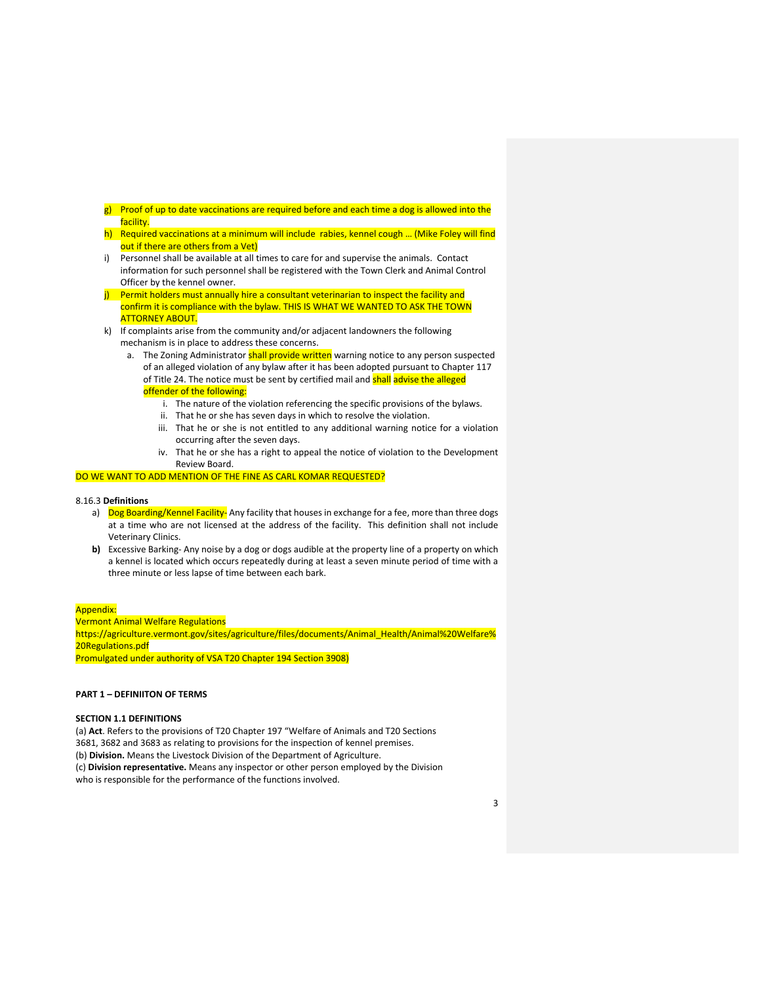- g) Proof of up to date vaccinations are required before and each time a dog is allowed into the facility.
- h) Required vaccinations at a minimum will include rabies, kennel cough ... (Mike Foley will find out if there are others from a Vet)
- i) Personnel shall be available at all times to care for and supervise the animals. Contact information for such personnel shall be registered with the Town Clerk and Animal Control Officer by the kennel owner.
- j) Permit holders must annually hire a consultant veterinarian to inspect the facility and confirm it is compliance with the bylaw. THIS IS WHAT WE WANTED TO ASK THE TOWN ATTORNEY ABOUT.
- k) If complaints arise from the community and/or adjacent landowners the following mechanism is in place to address these concerns.
	- a. The Zoning Administrator **shall provide written** warning notice to any person suspected of an alleged violation of any bylaw after it has been adopted pursuant to Chapter 117 of Title 24. The notice must be sent by certified mail and shall advise the alleged offender of the following:
		- i. The nature of the violation referencing the specific provisions of the bylaws.
		- ii. That he or she has seven days in which to resolve the violation.
		- iii. That he or she is not entitled to any additional warning notice for a violation occurring after the seven days.
		- iv. That he or she has a right to appeal the notice of violation to the Development Review Board.

### DO WE WANT TO ADD MENTION OF THE FINE AS CARL KOMAR REQUESTED?

#### 8.16.3 **Definitions**

- a) Dog Boarding/Kennel Facility- Any facility that houses in exchange for a fee, more than three dogs at a time who are not licensed at the address of the facility. This definition shall not include Veterinary Clinics.
- **b)** Excessive Barking- Any noise by a dog or dogs audible at the property line of a property on which a kennel is located which occurs repeatedly during at least a seven minute period of time with a three minute or less lapse of time between each bark.

#### Appendix:

Vermont Animal Welfare Regulations https://agriculture.vermont.gov/sites/agriculture/files/documents/Animal\_Health/Animal%20Welfare% 20Regulations.pdf Promulgated under authority of VSA T20 Chapter 194 Section 3908)

#### **PART 1 – DEFINIITON OF TERMS**

# **SECTION 1.1 DEFINITIONS**

(a) **Act**. Refers to the provisions of T20 Chapter 197 "Welfare of Animals and T20 Sections 3681, 3682 and 3683 as relating to provisions for the inspection of kennel premises. (b) **Division.** Means the Livestock Division of the Department of Agriculture. (c) **Division representative.** Means any inspector or other person employed by the Division who is responsible for the performance of the functions involved.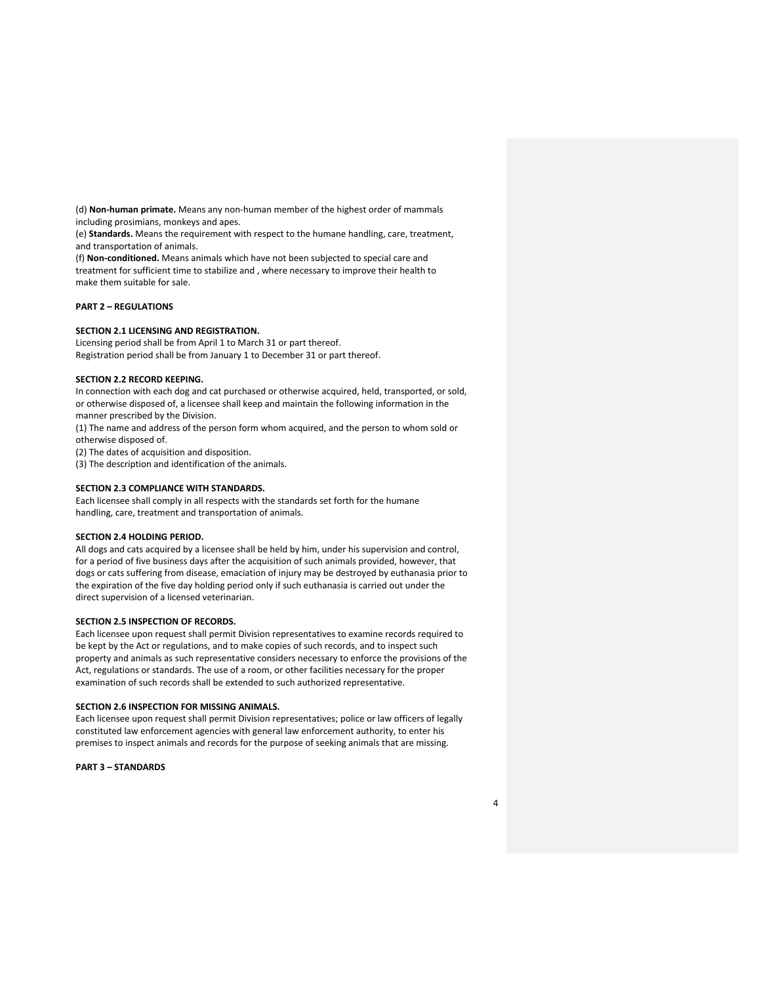(d) **Non-human primate.** Means any non-human member of the highest order of mammals including prosimians, monkeys and apes.

(e) **Standards.** Means the requirement with respect to the humane handling, care, treatment, and transportation of animals.

(f) **Non-conditioned.** Means animals which have not been subjected to special care and treatment for sufficient time to stabilize and , where necessary to improve their health to make them suitable for sale.

# **PART 2 – REGULATIONS**

## **SECTION 2.1 LICENSING AND REGISTRATION.**

Licensing period shall be from April 1 to March 31 or part thereof. Registration period shall be from January 1 to December 31 or part thereof.

### **SECTION 2.2 RECORD KEEPING.**

In connection with each dog and cat purchased or otherwise acquired, held, transported, or sold, or otherwise disposed of, a licensee shall keep and maintain the following information in the manner prescribed by the Division.

(1) The name and address of the person form whom acquired, and the person to whom sold or otherwise disposed of.

(2) The dates of acquisition and disposition.

(3) The description and identification of the animals.

### **SECTION 2.3 COMPLIANCE WITH STANDARDS.**

Each licensee shall comply in all respects with the standards set forth for the humane handling, care, treatment and transportation of animals.

#### **SECTION 2.4 HOLDING PERIOD.**

All dogs and cats acquired by a licensee shall be held by him, under his supervision and control, for a period of five business days after the acquisition of such animals provided, however, that dogs or cats suffering from disease, emaciation of injury may be destroyed by euthanasia prior to the expiration of the five day holding period only if such euthanasia is carried out under the direct supervision of a licensed veterinarian.

### **SECTION 2.5 INSPECTION OF RECORDS.**

Each licensee upon request shall permit Division representatives to examine records required to be kept by the Act or regulations, and to make copies of such records, and to inspect such property and animals as such representative considers necessary to enforce the provisions of the Act, regulations or standards. The use of a room, or other facilities necessary for the proper examination of such records shall be extended to such authorized representative.

#### **SECTION 2.6 INSPECTION FOR MISSING ANIMALS.**

Each licensee upon request shall permit Division representatives; police or law officers of legally constituted law enforcement agencies with general law enforcement authority, to enter his premises to inspect animals and records for the purpose of seeking animals that are missing.

**PART 3 – STANDARDS**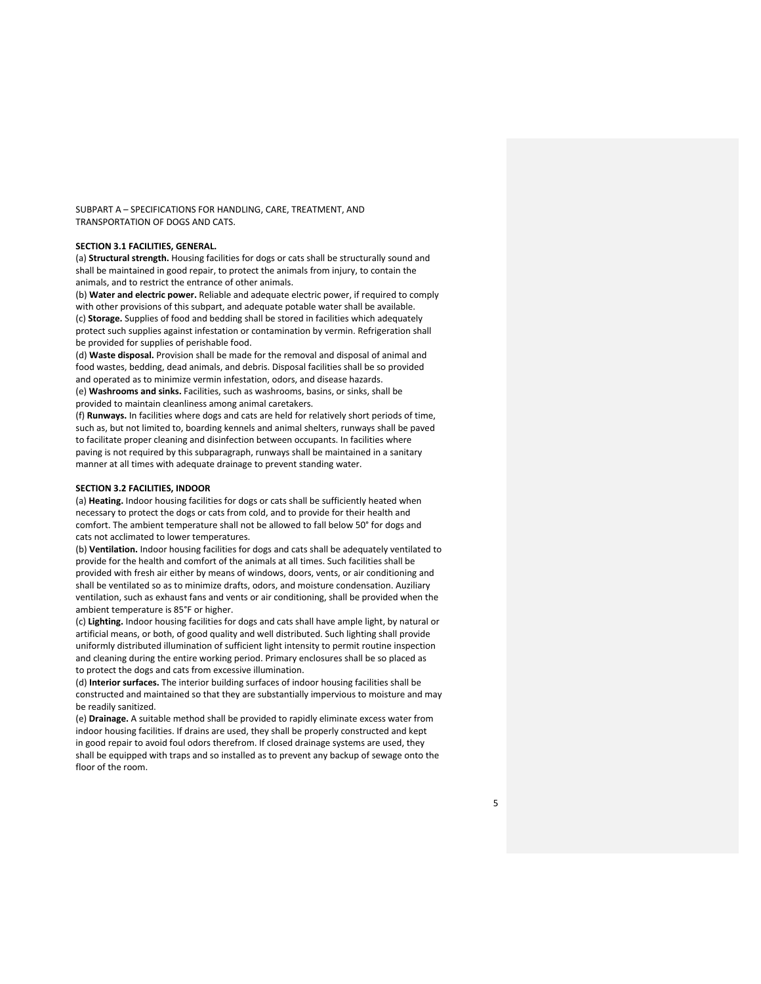SUBPART A – SPECIFICATIONS FOR HANDLING, CARE, TREATMENT, AND TRANSPORTATION OF DOGS AND CATS.

# **SECTION 3.1 FACILITIES, GENERAL.**

(a) **Structural strength.** Housing facilities for dogs or cats shall be structurally sound and shall be maintained in good repair, to protect the animals from injury, to contain the animals, and to restrict the entrance of other animals.

(b) **Water and electric power.** Reliable and adequate electric power, if required to comply with other provisions of this subpart, and adequate potable water shall be available. (c) **Storage.** Supplies of food and bedding shall be stored in facilities which adequately protect such supplies against infestation or contamination by vermin. Refrigeration shall be provided for supplies of perishable food.

(d) **Waste disposal.** Provision shall be made for the removal and disposal of animal and food wastes, bedding, dead animals, and debris. Disposal facilities shall be so provided and operated as to minimize vermin infestation, odors, and disease hazards. (e) **Washrooms and sinks.** Facilities, such as washrooms, basins, or sinks, shall be provided to maintain cleanliness among animal caretakers.

(f) **Runways.** In facilities where dogs and cats are held for relatively short periods of time, such as, but not limited to, boarding kennels and animal shelters, runways shall be paved to facilitate proper cleaning and disinfection between occupants. In facilities where paving is not required by this subparagraph, runways shall be maintained in a sanitary manner at all times with adequate drainage to prevent standing water.

## **SECTION 3.2 FACILITIES, INDOOR**

(a) **Heating.** Indoor housing facilities for dogs or cats shall be sufficiently heated when necessary to protect the dogs or cats from cold, and to provide for their health and comfort. The ambient temperature shall not be allowed to fall below 50° for dogs and cats not acclimated to lower temperatures.

(b) **Ventilation.** Indoor housing facilities for dogs and cats shall be adequately ventilated to provide for the health and comfort of the animals at all times. Such facilities shall be provided with fresh air either by means of windows, doors, vents, or air conditioning and shall be ventilated so as to minimize drafts, odors, and moisture condensation. Auziliary ventilation, such as exhaust fans and vents or air conditioning, shall be provided when the ambient temperature is 85°F or higher.

(c) **Lighting.** Indoor housing facilities for dogs and cats shall have ample light, by natural or artificial means, or both, of good quality and well distributed. Such lighting shall provide uniformly distributed illumination of sufficient light intensity to permit routine inspection and cleaning during the entire working period. Primary enclosures shall be so placed as to protect the dogs and cats from excessive illumination.

(d) **Interior surfaces.** The interior building surfaces of indoor housing facilities shall be constructed and maintained so that they are substantially impervious to moisture and may be readily sanitized.

(e) **Drainage.** A suitable method shall be provided to rapidly eliminate excess water from indoor housing facilities. If drains are used, they shall be properly constructed and kept in good repair to avoid foul odors therefrom. If closed drainage systems are used, they shall be equipped with traps and so installed as to prevent any backup of sewage onto the floor of the room.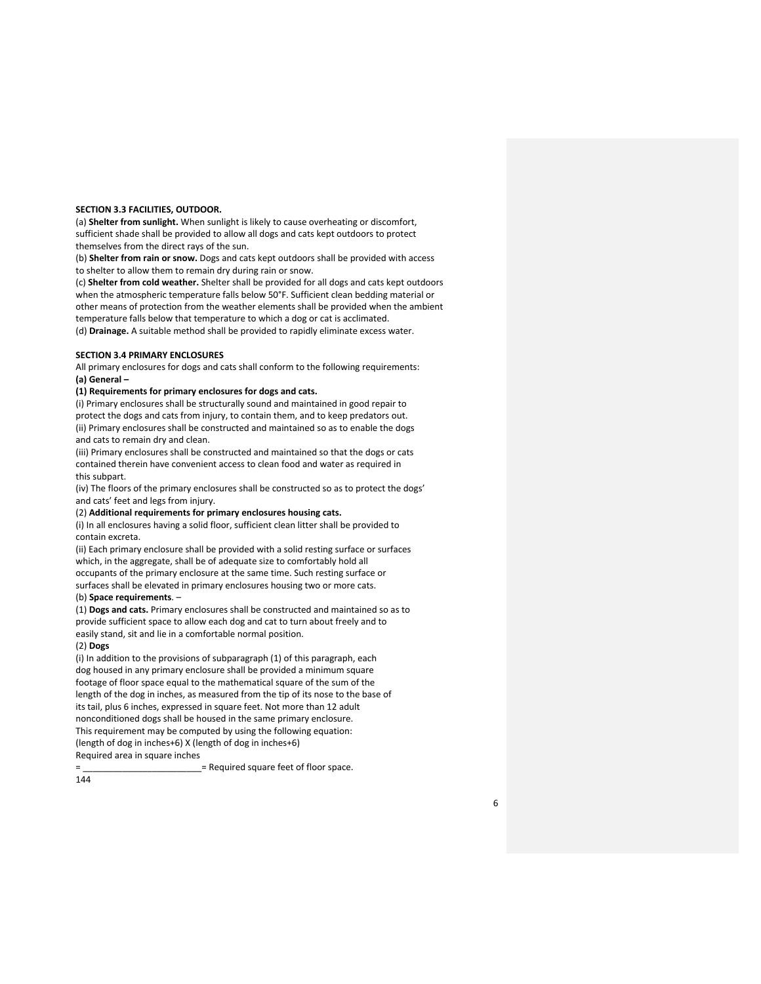### **SECTION 3.3 FACILITIES, OUTDOOR.**

(a) **Shelter from sunlight.** When sunlight is likely to cause overheating or discomfort, sufficient shade shall be provided to allow all dogs and cats kept outdoors to protect themselves from the direct rays of the sun.

(b) **Shelter from rain or snow.** Dogs and cats kept outdoors shall be provided with access to shelter to allow them to remain dry during rain or snow.

(c) **Shelter from cold weather.** Shelter shall be provided for all dogs and cats kept outdoors when the atmospheric temperature falls below 50°F. Sufficient clean bedding material or other means of protection from the weather elements shall be provided when the ambient temperature falls below that temperature to which a dog or cat is acclimated.

(d) **Drainage.** A suitable method shall be provided to rapidly eliminate excess water.

## **SECTION 3.4 PRIMARY ENCLOSURES**

All primary enclosures for dogs and cats shall conform to the following requirements: **(a) General –**

#### **(1) Requirements for primary enclosures for dogs and cats.**

(i) Primary enclosures shall be structurally sound and maintained in good repair to protect the dogs and cats from injury, to contain them, and to keep predators out. (ii) Primary enclosures shall be constructed and maintained so as to enable the dogs and cats to remain dry and clean.

(iii) Primary enclosures shall be constructed and maintained so that the dogs or cats contained therein have convenient access to clean food and water as required in this subpart.

(iv) The floors of the primary enclosures shall be constructed so as to protect the dogs' and cats' feet and legs from injury.

### (2) **Additional requirements for primary enclosures housing cats.**

(i) In all enclosures having a solid floor, sufficient clean litter shall be provided to contain excreta.

(ii) Each primary enclosure shall be provided with a solid resting surface or surfaces which, in the aggregate, shall be of adequate size to comfortably hold all occupants of the primary enclosure at the same time. Such resting surface or surfaces shall be elevated in primary enclosures housing two or more cats.

# (b) **Space requirements**. –

(1) **Dogs and cats.** Primary enclosures shall be constructed and maintained so as to provide sufficient space to allow each dog and cat to turn about freely and to easily stand, sit and lie in a comfortable normal position.

## (2) **Dogs**

(i) In addition to the provisions of subparagraph (1) of this paragraph, each dog housed in any primary enclosure shall be provided a minimum square footage of floor space equal to the mathematical square of the sum of the length of the dog in inches, as measured from the tip of its nose to the base of its tail, plus 6 inches, expressed in square feet. Not more than 12 adult nonconditioned dogs shall be housed in the same primary enclosure. This requirement may be computed by using the following equation: (length of dog in inches+6) X (length of dog in inches+6) Required area in square inches

= Required square feet of floor space.

144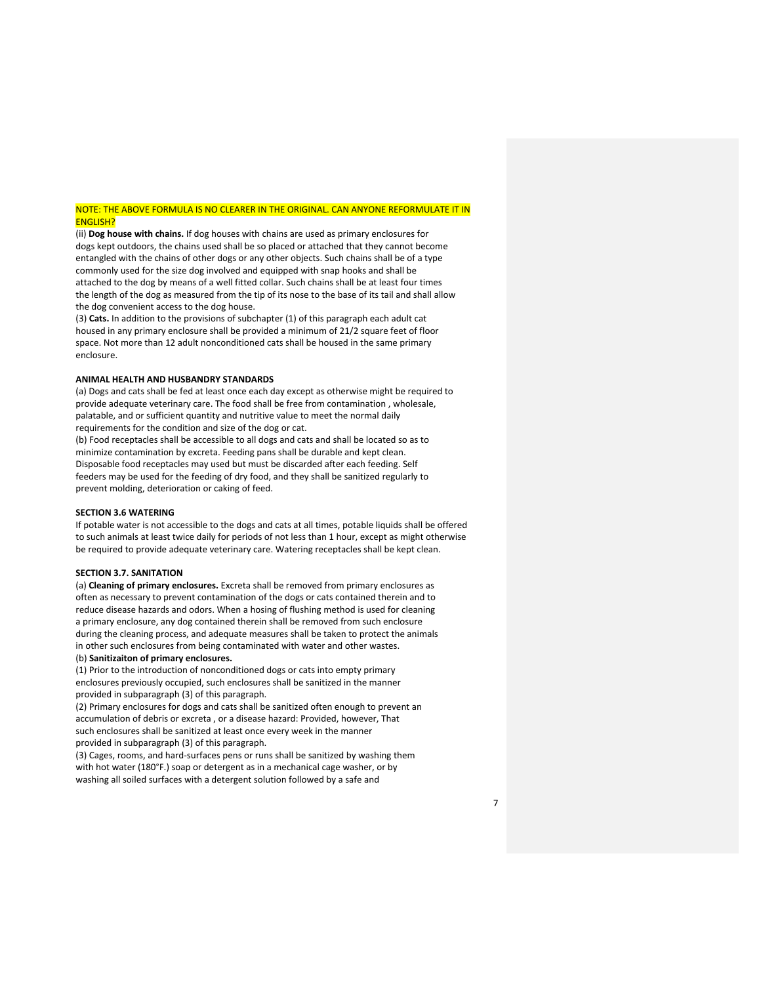## NOTE: THE ABOVE FORMULA IS NO CLEARER IN THE ORIGINAL. CAN ANYONE REFORMULATE IT IN ENGLISH?

(ii) **Dog house with chains.** If dog houses with chains are used as primary enclosures for dogs kept outdoors, the chains used shall be so placed or attached that they cannot become entangled with the chains of other dogs or any other objects. Such chains shall be of a type commonly used for the size dog involved and equipped with snap hooks and shall be attached to the dog by means of a well fitted collar. Such chains shall be at least four times the length of the dog as measured from the tip of its nose to the base of its tail and shall allow the dog convenient access to the dog house.

(3) **Cats.** In addition to the provisions of subchapter (1) of this paragraph each adult cat housed in any primary enclosure shall be provided a minimum of 21/2 square feet of floor space. Not more than 12 adult nonconditioned cats shall be housed in the same primary enclosure.

#### **ANIMAL HEALTH AND HUSBANDRY STANDARDS**

(a) Dogs and cats shall be fed at least once each day except as otherwise might be required to provide adequate veterinary care. The food shall be free from contamination , wholesale, palatable, and or sufficient quantity and nutritive value to meet the normal daily requirements for the condition and size of the dog or cat.

(b) Food receptacles shall be accessible to all dogs and cats and shall be located so as to minimize contamination by excreta. Feeding pans shall be durable and kept clean. Disposable food receptacles may used but must be discarded after each feeding. Self feeders may be used for the feeding of dry food, and they shall be sanitized regularly to prevent molding, deterioration or caking of feed.

### **SECTION 3.6 WATERING**

If potable water is not accessible to the dogs and cats at all times, potable liquids shall be offered to such animals at least twice daily for periods of not less than 1 hour, except as might otherwise be required to provide adequate veterinary care. Watering receptacles shall be kept clean.

### **SECTION 3.7. SANITATION**

(a) **Cleaning of primary enclosures.** Excreta shall be removed from primary enclosures as often as necessary to prevent contamination of the dogs or cats contained therein and to reduce disease hazards and odors. When a hosing of flushing method is used for cleaning a primary enclosure, any dog contained therein shall be removed from such enclosure during the cleaning process, and adequate measures shall be taken to protect the animals in other such enclosures from being contaminated with water and other wastes.

# (b) **Sanitizaiton of primary enclosures.**

(1) Prior to the introduction of nonconditioned dogs or cats into empty primary enclosures previously occupied, such enclosures shall be sanitized in the manner provided in subparagraph (3) of this paragraph.

(2) Primary enclosures for dogs and cats shall be sanitized often enough to prevent an accumulation of debris or excreta , or a disease hazard: Provided, however, That such enclosures shall be sanitized at least once every week in the manner provided in subparagraph (3) of this paragraph.

(3) Cages, rooms, and hard-surfaces pens or runs shall be sanitized by washing them with hot water (180°F.) soap or detergent as in a mechanical cage washer, or by washing all soiled surfaces with a detergent solution followed by a safe and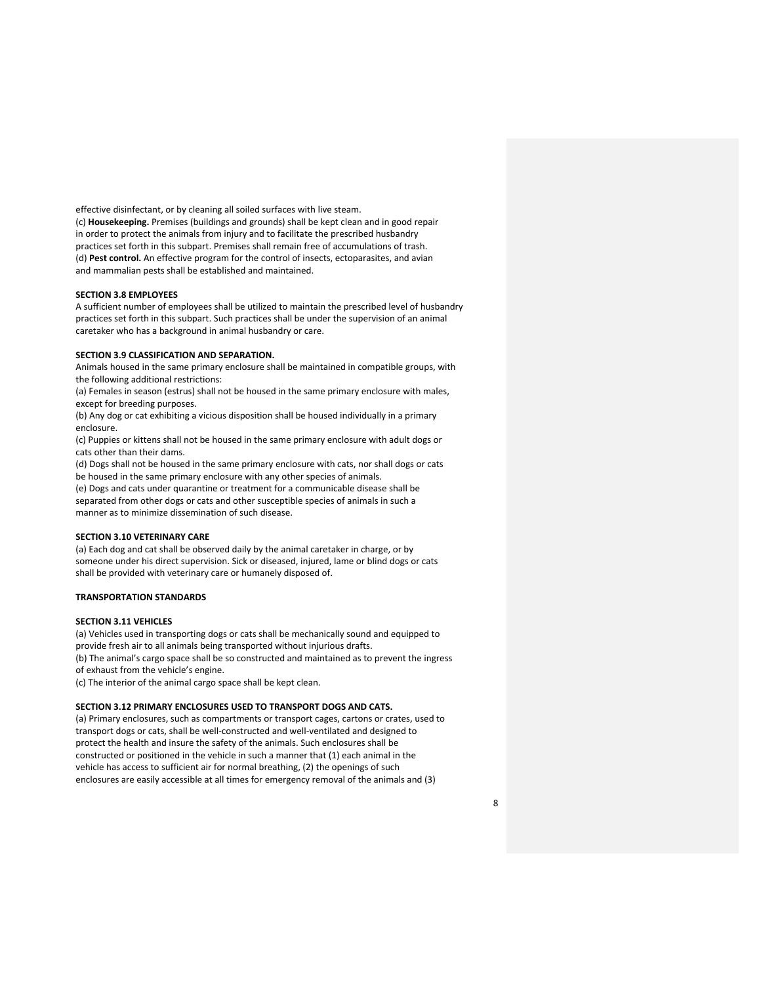effective disinfectant, or by cleaning all soiled surfaces with live steam. (c) **Housekeeping.** Premises (buildings and grounds) shall be kept clean and in good repair in order to protect the animals from injury and to facilitate the prescribed husbandry practices set forth in this subpart. Premises shall remain free of accumulations of trash. (d) **Pest control.** An effective program for the control of insects, ectoparasites, and avian and mammalian pests shall be established and maintained.

## **SECTION 3.8 EMPLOYEES**

A sufficient number of employees shall be utilized to maintain the prescribed level of husbandry practices set forth in this subpart. Such practices shall be under the supervision of an animal caretaker who has a background in animal husbandry or care.

## **SECTION 3.9 CLASSIFICATION AND SEPARATION.**

Animals housed in the same primary enclosure shall be maintained in compatible groups, with the following additional restrictions:

(a) Females in season (estrus) shall not be housed in the same primary enclosure with males, except for breeding purposes.

(b) Any dog or cat exhibiting a vicious disposition shall be housed individually in a primary enclosure.

(c) Puppies or kittens shall not be housed in the same primary enclosure with adult dogs or cats other than their dams.

(d) Dogs shall not be housed in the same primary enclosure with cats, nor shall dogs or cats be housed in the same primary enclosure with any other species of animals.

(e) Dogs and cats under quarantine or treatment for a communicable disease shall be separated from other dogs or cats and other susceptible species of animals in such a manner as to minimize dissemination of such disease.

## **SECTION 3.10 VETERINARY CARE**

(a) Each dog and cat shall be observed daily by the animal caretaker in charge, or by someone under his direct supervision. Sick or diseased, injured, lame or blind dogs or cats shall be provided with veterinary care or humanely disposed of.

## **TRANSPORTATION STANDARDS**

### **SECTION 3.11 VEHICLES**

(a) Vehicles used in transporting dogs or cats shall be mechanically sound and equipped to provide fresh air to all animals being transported without injurious drafts. (b) The animal's cargo space shall be so constructed and maintained as to prevent the ingress of exhaust from the vehicle's engine.

(c) The interior of the animal cargo space shall be kept clean.

## **SECTION 3.12 PRIMARY ENCLOSURES USED TO TRANSPORT DOGS AND CATS.**

(a) Primary enclosures, such as compartments or transport cages, cartons or crates, used to transport dogs or cats, shall be well-constructed and well-ventilated and designed to protect the health and insure the safety of the animals. Such enclosures shall be constructed or positioned in the vehicle in such a manner that (1) each animal in the vehicle has access to sufficient air for normal breathing, (2) the openings of such enclosures are easily accessible at all times for emergency removal of the animals and (3)